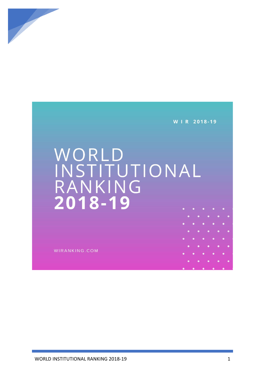

W | R 2018-19

## WORLD<br>INSTITUTIONAL<br>RANKING<br>2018-19

WIRANKING.COM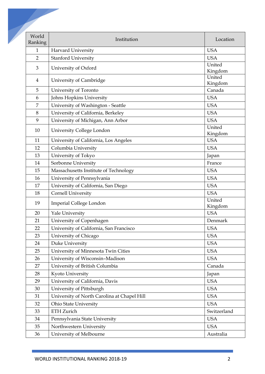| World<br>Ranking | Institution                                 | Location          |
|------------------|---------------------------------------------|-------------------|
| $\mathbf{1}$     | Harvard University                          | <b>USA</b>        |
| $\overline{2}$   | <b>Stanford University</b>                  | <b>USA</b>        |
| 3                | University of Oxford                        | United<br>Kingdom |
| $\overline{4}$   | University of Cambridge                     | United<br>Kingdom |
| 5                | University of Toronto                       | Canada            |
| 6                | Johns Hopkins University                    | <b>USA</b>        |
| 7                | University of Washington - Seattle          | <b>USA</b>        |
| 8                | University of California, Berkeley          | <b>USA</b>        |
| 9                | University of Michigan, Ann Arbor           | <b>USA</b>        |
| 10               | University College London                   | United<br>Kingdom |
| 11               | University of California, Los Angeles       | <b>USA</b>        |
| 12               | Columbia University                         | <b>USA</b>        |
| 13               | University of Tokyo                         | Japan             |
| 14               | Sorbonne University                         | France            |
| 15               | Massachusetts Institute of Technology       | <b>USA</b>        |
| 16               | University of Pennsylvania                  | <b>USA</b>        |
| 17               | University of California, San Diego         | <b>USA</b>        |
| 18               | Cornell University                          | <b>USA</b>        |
| 19               | Imperial College London                     | United<br>Kingdom |
| 20               | Yale University                             | <b>USA</b>        |
| 21               | University of Copenhagen                    | Denmark           |
| 22               | University of California, San Francisco     | <b>USA</b>        |
| 23               | University of Chicago                       | <b>USA</b>        |
| 24               | Duke University                             | <b>USA</b>        |
| 25               | University of Minnesota Twin Cities         | <b>USA</b>        |
| 26               | University of Wisconsin-Madison             | <b>USA</b>        |
| 27               | University of British Columbia              | Canada            |
| 28               | Kyoto University                            | Japan             |
| 29               | University of California, Davis             | <b>USA</b>        |
| 30               | University of Pittsburgh                    | <b>USA</b>        |
| 31               | University of North Carolina at Chapel Hill | <b>USA</b>        |
| 32               | <b>Ohio State University</b>                | <b>USA</b>        |
| 33               | <b>ETH Zurich</b>                           | Switzerland       |
| 34               | Pennsylvania State University               | <b>USA</b>        |
| 35               | Northwestern University                     | <b>USA</b>        |
| 36               | University of Melbourne                     | Australia         |
|                  |                                             |                   |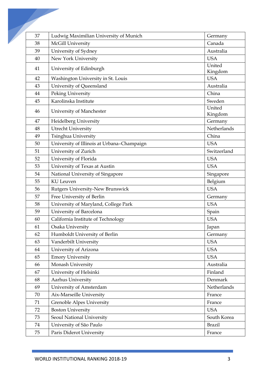| 37 | Ludwig Maximilian University of Munich     | Germany           |
|----|--------------------------------------------|-------------------|
| 38 | McGill University                          | Canada            |
| 39 | University of Sydney                       | Australia         |
| 40 | New York University                        | <b>USA</b>        |
| 41 | University of Edinburgh                    | United            |
|    |                                            | Kingdom           |
| 42 | Washington University in St. Louis         | <b>USA</b>        |
| 43 | University of Queensland                   | Australia         |
| 44 | Peking University                          | China             |
| 45 | Karolinska Institute                       | Sweden            |
| 46 | University of Manchester                   | United<br>Kingdom |
| 47 | Heidelberg University                      | Germany           |
| 48 | Utrecht University                         | Netherlands       |
| 49 | Tsinghua University                        | China             |
| 50 | University of Illinois at Urbana-Champaign | <b>USA</b>        |
| 51 | University of Zurich                       | Switzerland       |
| 52 | University of Florida                      | <b>USA</b>        |
| 53 | University of Texas at Austin              | <b>USA</b>        |
| 54 | National University of Singapore           | Singapore         |
| 55 | <b>KU</b> Leuven                           | Belgium           |
| 56 | Rutgers University-New Brunswick           | <b>USA</b>        |
| 57 | Free University of Berlin                  | Germany           |
| 58 | University of Maryland, College Park       | <b>USA</b>        |
| 59 | University of Barcelona                    | Spain             |
| 60 | California Institute of Technology         | <b>USA</b>        |
| 61 | Osaka University                           | Japan             |
| 62 | Humboldt University of Berlin              | Germany           |
| 63 | Vanderbilt University                      | <b>USA</b>        |
| 64 | University of Arizona                      | <b>USA</b>        |
| 65 | <b>Emory University</b>                    | <b>USA</b>        |
| 66 | Monash University                          | Australia         |
| 67 | University of Helsinki                     | Finland           |
| 68 | Aarhus University                          | Denmark           |
| 69 | University of Amsterdam                    | Netherlands       |
| 70 | Aix-Marseille University                   | France            |
| 71 | <b>Grenoble Alpes University</b>           | France            |
| 72 | <b>Boston University</b>                   | <b>USA</b>        |
| 73 | Seoul National University                  | South Korea       |
| 74 | University of São Paulo                    | <b>Brazil</b>     |
| 75 | Paris Diderot University                   | France            |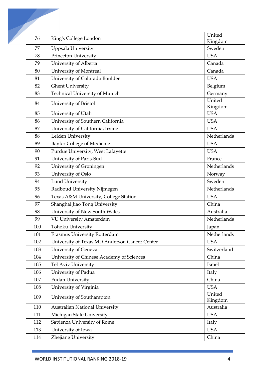| 76  | King's College London                         | United            |
|-----|-----------------------------------------------|-------------------|
|     |                                               | Kingdom           |
| 77  | Uppsala University                            | Sweden            |
| 78  | Princeton University                          | <b>USA</b>        |
| 79  | University of Alberta                         | Canada            |
| 80  | University of Montreal                        | Canada            |
| 81  | University of Colorado Boulder                | <b>USA</b>        |
| 82  | <b>Ghent University</b>                       | Belgium           |
| 83  | Technical University of Munich                | Germany           |
| 84  | University of Bristol                         | United<br>Kingdom |
| 85  | University of Utah                            | <b>USA</b>        |
| 86  | University of Southern California             | <b>USA</b>        |
| 87  | University of California, Irvine              | <b>USA</b>        |
| 88  | Leiden University                             | Netherlands       |
| 89  | <b>Baylor College of Medicine</b>             | <b>USA</b>        |
| 90  | Purdue University, West Lafayette             | <b>USA</b>        |
| 91  | University of Paris-Sud                       | France            |
| 92  | University of Groningen                       | Netherlands       |
| 93  | University of Oslo                            | Norway            |
| 94  | <b>Lund University</b>                        | Sweden            |
| 95  | Radboud University Nijmegen                   | Netherlands       |
| 96  | Texas A&M University, College Station         | <b>USA</b>        |
| 97  | Shanghai Jiao Tong University                 | China             |
| 98  | University of New South Wales                 | Australia         |
| 99  | VU University Amsterdam                       | Netherlands       |
| 100 | Tohoku University                             | Japan             |
| 101 | Erasmus University Rotterdam                  | Netherlands       |
| 102 | University of Texas MD Anderson Cancer Center | <b>USA</b>        |
| 103 | University of Geneva                          | Switzerland       |
| 104 | University of Chinese Academy of Sciences     | China             |
| 105 | Tel Aviv University                           | Israel            |
| 106 | University of Padua                           | Italy             |
| 107 | <b>Fudan University</b>                       | China             |
| 108 | University of Virginia                        | <b>USA</b>        |
| 109 | University of Southampton                     | United<br>Kingdom |
| 110 | <b>Australian National University</b>         | Australia         |
| 111 | Michigan State University                     | <b>USA</b>        |
| 112 | Sapienza University of Rome                   | Italy             |
| 113 | University of Iowa                            | <b>USA</b>        |
| 114 | Zhejiang University                           | China             |
|     |                                               |                   |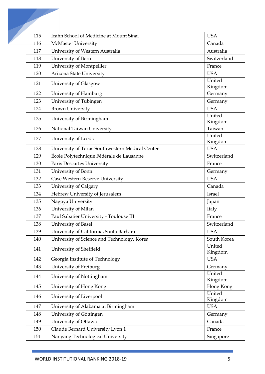| 115 | Icahn School of Medicine at Mount Sinai         | <b>USA</b>        |
|-----|-------------------------------------------------|-------------------|
| 116 | McMaster University                             | Canada            |
| 117 | University of Western Australia                 | Australia         |
| 118 | University of Bern                              | Switzerland       |
| 119 | University of Montpellier                       | France            |
| 120 | Arizona State University                        | <b>USA</b>        |
| 121 | University of Glasgow                           | United<br>Kingdom |
| 122 | University of Hamburg                           | Germany           |
| 123 | University of Tübingen                          | Germany           |
| 124 | <b>Brown University</b>                         | <b>USA</b>        |
| 125 | University of Birmingham                        | United<br>Kingdom |
| 126 | National Taiwan University                      | Taiwan            |
| 127 | University of Leeds                             | United<br>Kingdom |
| 128 | University of Texas Southwestern Medical Center | <b>USA</b>        |
| 129 | École Polytechnique Fédérale de Lausanne        | Switzerland       |
| 130 | Paris Descartes University                      | France            |
| 131 | University of Bonn                              | Germany           |
| 132 | Case Western Reserve University                 | <b>USA</b>        |
| 133 | University of Calgary                           | Canada            |
| 134 | Hebrew University of Jerusalem                  | Israel            |
| 135 | Nagoya University                               | Japan             |
| 136 | University of Milan                             | Italy             |
| 137 | Paul Sabatier University - Toulouse III         | France            |
| 138 | University of Basel                             | Switzerland       |
| 139 | University of California, Santa Barbara         | <b>USA</b>        |
| 140 | University of Science and Technology, Korea     | South Korea       |
| 141 | University of Sheffield                         | United<br>Kingdom |
| 142 | Georgia Institute of Technology                 | <b>USA</b>        |
| 143 | University of Freiburg                          | Germany           |
| 144 | University of Nottingham                        | United<br>Kingdom |
| 145 | University of Hong Kong                         | Hong Kong         |
| 146 | University of Liverpool                         | United<br>Kingdom |
| 147 | University of Alabama at Birmingham             | <b>USA</b>        |
| 148 | University of Göttingen                         | Germany           |
| 149 | University of Ottawa                            | Canada            |
| 150 | Claude Bernard University Lyon 1                | France            |
| 151 | Nanyang Technological University                | Singapore         |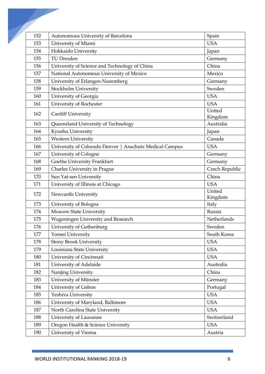| 152 | Autonomous University of Barcelona                              | Spain             |
|-----|-----------------------------------------------------------------|-------------------|
| 153 | University of Miami                                             | <b>USA</b>        |
| 154 | Hokkaido University                                             | Japan             |
| 155 | <b>TU Dresden</b>                                               | Germany           |
| 156 | University of Science and Technology of China                   | China             |
| 157 | National Autonomous University of Mexico                        | Mexico            |
| 158 | University of Erlangen-Nuremberg                                | Germany           |
| 159 | Stockholm University                                            | Sweden            |
| 160 | University of Georgia                                           | <b>USA</b>        |
| 161 | University of Rochester                                         | <b>USA</b>        |
| 162 | Cardiff University                                              | United<br>Kingdom |
| 163 | Queensland University of Technology                             | Australia         |
| 164 | Kyushu University                                               | Japan             |
| 165 | <b>Western University</b>                                       | Canada            |
| 166 | University of Colorado Denver<br><b>Anschutz Medical Campus</b> | <b>USA</b>        |
| 167 | University of Cologne                                           | Germany           |
| 168 | Goethe University Frankfurt                                     | Germany           |
| 169 | Charles University in Prague                                    | Czech Republic    |
| 170 | Sun Yat-sen University                                          | China             |
| 171 | University of Illinois at Chicago                               | <b>USA</b>        |
| 172 | Newcastle University                                            | United<br>Kingdom |
| 173 | University of Bologna                                           | Italy             |
| 174 | <b>Moscow State University</b>                                  | Russia            |
| 175 | Wageningen University and Research                              | Netherlands       |
| 176 | University of Gothenburg                                        | Sweden            |
| 177 | Yonsei University                                               | South Korea       |
| 178 | <b>Stony Brook University</b>                                   | <b>USA</b>        |
| 179 | Louisiana State University                                      | <b>USA</b>        |
| 180 | University of Cincinnati                                        | <b>USA</b>        |
| 181 | University of Adelaide                                          | Australia         |
| 182 | Nanjing University                                              | China             |
| 183 | University of Münster                                           | Germany           |
| 184 | University of Lisbon                                            | Portugal          |
| 185 | Yeshiva University                                              | <b>USA</b>        |
| 186 | University of Maryland, Baltimore                               | <b>USA</b>        |
| 187 | North Carolina State University                                 | <b>USA</b>        |
| 188 | University of Lausanne                                          | Switzerland       |
| 189 | Oregon Health & Science University                              | <b>USA</b>        |
| 190 | University of Vienna                                            | Austria           |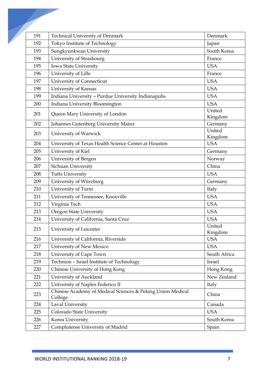| 191 | <b>Technical University of Denmark</b>                                | Denmark           |
|-----|-----------------------------------------------------------------------|-------------------|
| 192 | Tokyo Institute of Technology                                         | Japan             |
| 193 | Sungkyunkwan University                                               | South Korea       |
| 194 | University of Strasbourg                                              | France            |
| 195 | Iowa State University                                                 | <b>USA</b>        |
| 196 | University of Lille                                                   | France            |
| 197 | University of Connecticut                                             | <b>USA</b>        |
| 198 | University of Kansas                                                  | <b>USA</b>        |
| 199 | Indiana University - Purdue University Indianapolis                   | <b>USA</b>        |
| 200 | Indiana University Bloomington                                        | <b>USA</b>        |
| 201 | Queen Mary University of London                                       | United<br>Kingdom |
| 202 | Johannes Gutenberg University Mainz                                   | Germany           |
| 203 | University of Warwick                                                 | United            |
|     |                                                                       | Kingdom           |
| 204 | University of Texas Health Science Center at Houston                  | <b>USA</b>        |
| 205 | University of Kiel                                                    | Germany           |
| 206 | University of Bergen                                                  | Norway            |
| 207 | Sichuan University                                                    | China             |
| 208 | <b>Tufts University</b>                                               | <b>USA</b>        |
| 209 | University of Würzburg                                                | Germany           |
| 210 | University of Turin                                                   | Italy             |
| 211 | University of Tennessee, Knoxville                                    | <b>USA</b>        |
| 212 | Virginia Tech                                                         | <b>USA</b>        |
| 213 | <b>Oregon State University</b>                                        | <b>USA</b>        |
| 214 | University of California, Santa Cruz                                  | <b>USA</b>        |
| 215 | University of Leicester                                               | United<br>Kingdom |
| 216 | University of California, Riverside                                   | <b>USA</b>        |
| 217 | University of New Mexico                                              | <b>USA</b>        |
| 218 | University of Cape Town                                               | South Africa      |
| 219 | Technion - Israel Institute of Technology                             | Israel            |
| 220 | Chinese University of Hong Kong                                       | Hong Kong         |
| 221 | University of Auckland                                                | New Zealand       |
| 222 | University of Naples Federico II                                      | Italy             |
| 223 | Chinese Academy of Medical Sciences & Peking Union Medical<br>College | China             |
| 224 | Laval University                                                      | Canada            |
| 225 | Colorado State University                                             | <b>USA</b>        |
| 226 | Korea University                                                      | South Korea       |
| 227 | Complutense University of Madrid                                      | Spain             |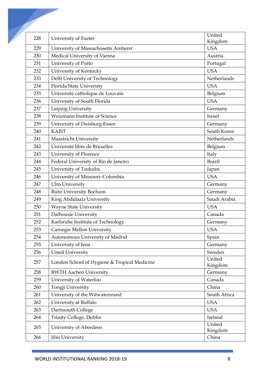| 228 | University of Exeter                         | United            |
|-----|----------------------------------------------|-------------------|
|     |                                              | Kingdom           |
| 229 | University of Massachusetts Amherst          | <b>USA</b>        |
| 230 | Medical University of Vienna                 | Austria           |
| 231 | University of Porto                          | Portugal          |
| 232 | University of Kentucky                       | <b>USA</b>        |
| 233 | Delft University of Technology               | Netherlands       |
| 234 | Florida State University                     | <b>USA</b>        |
| 235 | Université catholique de Louvain             | Belgium           |
| 236 | University of South Florida                  | <b>USA</b>        |
| 237 | Leipzig University                           | Germany           |
| 238 | Weizmann Institute of Science                | <b>Israel</b>     |
| 239 | University of Duisburg-Essen                 | Germany           |
| 240 | <b>KAIST</b>                                 | South Korea       |
| 241 | Maastricht University                        | Netherlands       |
| 242 | Université libre de Bruxelles                | Belgium           |
| 243 | University of Florence                       | Italy             |
| 244 | Federal University of Rio de Janeiro         | <b>Brazil</b>     |
| 245 | University of Tsukuba                        | Japan             |
| 246 | University of Missouri-Columbia              | <b>USA</b>        |
| 247 | <b>Ulm University</b>                        | Germany           |
| 248 | Ruhr University Bochum                       | Germany           |
| 249 | King Abdulaziz University                    | Saudi Arabia      |
| 250 | <b>Wayne State University</b>                | <b>USA</b>        |
| 251 | Dalhousie University                         | Canada            |
| 252 | Karlsruhe Institute of Technology            | Germany           |
| 253 | Carnegie Mellon University                   | <b>USA</b>        |
| 254 | Autonomous University of Madrid              | Spain             |
| 255 | University of Jena                           | Germany           |
| 256 | Umeå University                              | Sweden            |
| 257 | London School of Hygiene & Tropical Medicine | United<br>Kingdom |
| 258 | <b>RWTH Aachen University</b>                | Germany           |
| 259 | University of Waterloo                       | Canada            |
| 260 | Tongji University                            | China             |
| 261 | University of the Witwatersrand              | South Africa      |
| 262 | University at Buffalo                        | <b>USA</b>        |
| 263 | Dartmouth College                            | <b>USA</b>        |
| 264 | Trinity College, Dublin                      | Ireland           |
| 265 | University of Aberdeen                       | United            |
|     |                                              | Kingdom<br>China  |
| 266 | Jilin University                             |                   |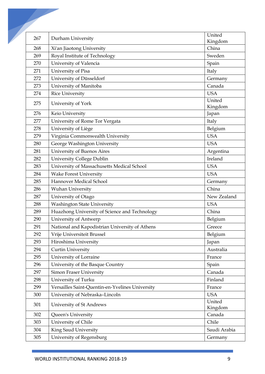| 267 | Durham University                               | United            |
|-----|-------------------------------------------------|-------------------|
|     |                                                 | Kingdom           |
| 268 | Xi'an Jiaotong University                       | China             |
| 269 | Royal Institute of Technology                   | Sweden            |
| 270 | University of Valencia                          | Spain             |
| 271 | University of Pisa                              | Italy             |
| 272 | University of Düsseldorf                        | Germany           |
| 273 | University of Manitoba                          | Canada            |
| 274 | <b>Rice University</b>                          | <b>USA</b>        |
| 275 | University of York                              | United<br>Kingdom |
| 276 | Keio University                                 | Japan             |
| 277 | University of Rome Tor Vergata                  | Italy             |
| 278 | University of Liège                             | Belgium           |
| 279 | Virginia Commonwealth University                | <b>USA</b>        |
| 280 | George Washington University                    | <b>USA</b>        |
| 281 | University of Buenos Aires                      | Argentina         |
| 282 | University College Dublin                       | Ireland           |
| 283 | University of Massachusetts Medical School      | <b>USA</b>        |
| 284 | <b>Wake Forest University</b>                   | <b>USA</b>        |
| 285 | Hannover Medical School                         | Germany           |
| 286 | <b>Wuhan University</b>                         | China             |
| 287 | University of Otago                             | New Zealand       |
| 288 | <b>Washington State University</b>              | <b>USA</b>        |
| 289 | Huazhong University of Science and Technology   | China             |
| 290 | University of Antwerp                           | Belgium           |
| 291 | National and Kapodistrian University of Athens  | Greece            |
| 292 | Vrije Universiteit Brussel                      | Belgium           |
| 293 | Hiroshima University                            | Japan             |
| 294 | <b>Curtin University</b>                        | Australia         |
| 295 | University of Lorraine                          | France            |
| 296 | University of the Basque Country                | Spain             |
| 297 | <b>Simon Fraser University</b>                  | Canada            |
| 298 | University of Turku                             | Finland           |
| 299 | Versailles Saint-Quentin-en-Yvelines University | France            |
| 300 | University of Nebraska-Lincoln                  | <b>USA</b>        |
| 301 | University of St Andrews                        | United<br>Kingdom |
| 302 | Queen's University                              | Canada            |
| 303 | University of Chile                             | Chile             |
| 304 | King Saud University                            | Saudi Arabia      |
| 305 | University of Regensburg                        | Germany           |
|     |                                                 |                   |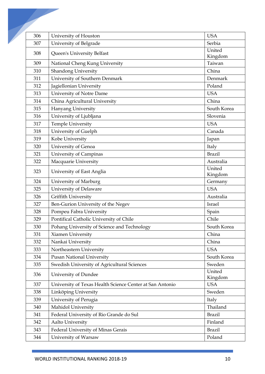| 306 | University of Houston                                    | <b>USA</b>        |
|-----|----------------------------------------------------------|-------------------|
| 307 | University of Belgrade                                   | Serbia            |
| 308 | Queen's University Belfast                               | United            |
|     |                                                          | Kingdom           |
| 309 | National Cheng Kung University                           | Taiwan            |
| 310 | Shandong University                                      | China             |
| 311 | University of Southern Denmark                           | Denmark           |
| 312 | Jagiellonian University                                  | Poland            |
| 313 | University of Notre Dame                                 | <b>USA</b>        |
| 314 | China Agricultural University                            | China             |
| 315 | Hanyang University                                       | South Korea       |
| 316 | University of Ljubljana                                  | Slovenia          |
| 317 | Temple University                                        | <b>USA</b>        |
| 318 | University of Guelph                                     | Canada            |
| 319 | Kobe University                                          | Japan             |
| 320 | University of Genoa                                      | Italy             |
| 321 | University of Campinas                                   | <b>Brazil</b>     |
| 322 | Macquarie University                                     | Australia         |
| 323 | University of East Anglia                                | United<br>Kingdom |
| 324 | University of Marburg                                    | Germany           |
| 325 | University of Delaware                                   | <b>USA</b>        |
| 326 | <b>Griffith University</b>                               | Australia         |
| 327 | Ben-Gurion University of the Negev                       | Israel            |
| 328 | Pompeu Fabra University                                  | Spain             |
| 329 | Pontifical Catholic University of Chile                  | Chile             |
| 330 | Pohang University of Science and Technology              | South Korea       |
| 331 | Xiamen University                                        | China             |
| 332 | Nankai University                                        | China             |
| 333 | Northeastern University                                  | <b>USA</b>        |
| 334 | <b>Pusan National University</b>                         | South Korea       |
| 335 | Swedish University of Agricultural Sciences              | Sweden            |
| 336 | University of Dundee                                     | United<br>Kingdom |
| 337 | University of Texas Health Science Center at San Antonio | <b>USA</b>        |
| 338 | Linköping University                                     | Sweden            |
| 339 | University of Perugia                                    | Italy             |
| 340 | Mahidol University                                       | Thailand          |
| 341 | Federal University of Rio Grande do Sul                  | <b>Brazil</b>     |
| 342 | Aalto University                                         | Finland           |
| 343 | Federal University of Minas Gerais                       | <b>Brazil</b>     |
| 344 | University of Warsaw                                     | Poland            |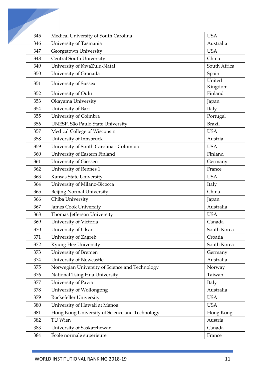| 345 | Medical University of South Carolina           | <b>USA</b>        |
|-----|------------------------------------------------|-------------------|
| 346 | University of Tasmania                         | Australia         |
| 347 | Georgetown University                          | <b>USA</b>        |
| 348 | <b>Central South University</b>                | China             |
| 349 | University of KwaZulu-Natal                    | South Africa      |
| 350 | University of Granada                          | Spain             |
| 351 | University of Sussex                           | United<br>Kingdom |
| 352 | University of Oulu                             | Finland           |
| 353 | Okayama University                             | Japan             |
| 354 | University of Bari                             | Italy             |
| 355 | University of Coimbra                          | Portugal          |
| 356 | UNESP, São Paulo State University              | <b>Brazil</b>     |
| 357 | Medical College of Wisconsin                   | <b>USA</b>        |
| 358 | University of Innsbruck                        | Austria           |
| 359 | University of South Carolina - Columbia        | <b>USA</b>        |
| 360 | University of Eastern Finland                  | Finland           |
| 361 | University of Giessen                          | Germany           |
| 362 | University of Rennes 1                         | France            |
| 363 | Kansas State University                        | <b>USA</b>        |
| 364 | University of Milano-Bicocca                   | Italy             |
| 365 | Beijing Normal University                      | China             |
| 366 | Chiba University                               | Japan             |
| 367 | <b>James Cook University</b>                   | Australia         |
| 368 | Thomas Jefferson University                    | <b>USA</b>        |
| 369 | University of Victoria                         | Canada            |
| 370 | University of Ulsan                            | South Korea       |
| 371 | University of Zagreb                           | Croatia           |
| 372 | Kyung Hee University                           | South Korea       |
| 373 | University of Bremen                           | Germany           |
| 374 | University of Newcastle                        | Australia         |
| 375 | Norwegian University of Science and Technology | Norway            |
| 376 | National Tsing Hua University                  | Taiwan            |
| 377 | University of Pavia                            | Italy             |
| 378 | University of Wollongong                       | Australia         |
| 379 | Rockefeller University                         | <b>USA</b>        |
| 380 | University of Hawaii at Manoa                  | <b>USA</b>        |
| 381 | Hong Kong University of Science and Technology | Hong Kong         |
| 382 | TU Wien                                        | Austria           |
| 383 | University of Saskatchewan                     | Canada            |
| 384 | École normale supérieure                       | France            |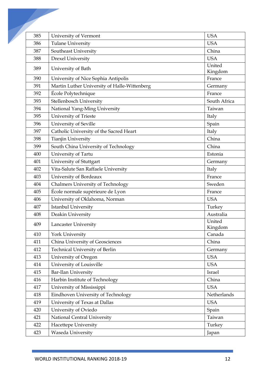| 385 | University of Vermont                        | <b>USA</b>        |
|-----|----------------------------------------------|-------------------|
| 386 | <b>Tulane University</b>                     | <b>USA</b>        |
| 387 | Southeast University                         | China             |
| 388 | <b>Drexel University</b>                     | <b>USA</b>        |
| 389 | University of Bath                           | United<br>Kingdom |
| 390 | University of Nice Sophia Antipolis          | France            |
| 391 | Martin Luther University of Halle-Wittenberg | Germany           |
| 392 | École Polytechnique                          | France            |
| 393 | Stellenbosch University                      | South Africa      |
| 394 | National Yang-Ming University                | Taiwan            |
| 395 | University of Trieste                        | Italy             |
| 396 | University of Seville                        | Spain             |
| 397 | Catholic University of the Sacred Heart      | Italy             |
| 398 | <b>Tianjin University</b>                    | China             |
| 399 | South China University of Technology         | China             |
| 400 | University of Tartu                          | Estonia           |
| 401 | University of Stuttgart                      | Germany           |
| 402 | Vita-Salute San Raffaele University          | Italy             |
| 403 | University of Bordeaux                       | France            |
| 404 | <b>Chalmers University of Technology</b>     | Sweden            |
| 405 | École normale supérieure de Lyon             | France            |
| 406 | University of Oklahoma, Norman               | <b>USA</b>        |
| 407 | Istanbul University                          | Turkey            |
| 408 | Deakin University                            | Australia         |
| 409 | Lancaster University                         | United<br>Kingdom |
| 410 | York University                              | Canada            |
| 411 | China University of Geosciences              | China             |
| 412 | Technical University of Berlin               | Germany           |
| 413 | University of Oregon                         | <b>USA</b>        |
| 414 | University of Louisville                     | <b>USA</b>        |
| 415 | <b>Bar-Ilan University</b>                   | Israel            |
| 416 | Harbin Institute of Technology               | China             |
| 417 | University of Mississippi                    | <b>USA</b>        |
| 418 | Eindhoven University of Technology           | Netherlands       |
| 419 | University of Texas at Dallas                | <b>USA</b>        |
| 420 | University of Oviedo                         | Spain             |
| 421 | National Central University                  | Taiwan            |
| 422 | Hacettepe University                         | Turkey            |
| 423 | Waseda University                            | Japan             |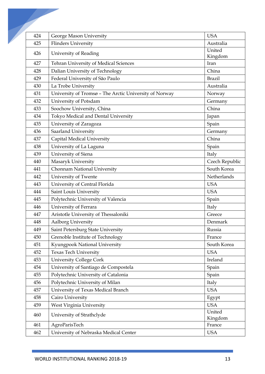| 424 | George Mason University                                | <b>USA</b>        |
|-----|--------------------------------------------------------|-------------------|
| 425 | <b>Flinders University</b>                             | Australia         |
| 426 | University of Reading                                  | United            |
|     |                                                        | Kingdom           |
| 427 | Tehran University of Medical Sciences                  | Iran              |
| 428 | Dalian University of Technology                        | China             |
| 429 | Federal University of São Paulo                        | <b>Brazil</b>     |
| 430 | La Trobe University                                    | Australia         |
| 431 | University of Tromsø - The Arctic University of Norway | Norway            |
| 432 | University of Potsdam                                  | Germany           |
| 433 | Soochow University, China                              | China             |
| 434 | Tokyo Medical and Dental University                    | Japan             |
| 435 | University of Zaragoza                                 | Spain             |
| 436 | Saarland University                                    | Germany           |
| 437 | Capital Medical University                             | China             |
| 438 | University of La Laguna                                | Spain             |
| 439 | University of Siena                                    | Italy             |
| 440 | Masaryk University                                     | Czech Republic    |
| 441 | Chonnam National University                            | South Korea       |
| 442 | University of Twente                                   | Netherlands       |
| 443 | University of Central Florida                          | <b>USA</b>        |
| 444 | Saint Louis University                                 | <b>USA</b>        |
| 445 | Polytechnic University of Valencia                     | Spain             |
| 446 | University of Ferrara                                  | Italy             |
| 447 | Aristotle University of Thessaloniki                   | Greece            |
| 448 | Aalborg University                                     | Denmark           |
| 449 | Saint Petersburg State University                      | Russia            |
| 450 | Grenoble Institute of Technology                       | France            |
| 451 | Kyungpook National University                          | South Korea       |
| 452 | <b>Texas Tech University</b>                           | <b>USA</b>        |
| 453 | <b>University College Cork</b>                         | Ireland           |
| 454 | University of Santiago de Compostela                   | Spain             |
| 455 | Polytechnic University of Catalonia                    | Spain             |
| 456 | Polytechnic University of Milan                        | Italy             |
| 457 | University of Texas Medical Branch                     | <b>USA</b>        |
| 458 | Cairo University                                       | Egypt             |
| 459 | West Virginia University                               | <b>USA</b>        |
| 460 | University of Strathclyde                              | United<br>Kingdom |
| 461 | AgroParisTech                                          | France            |
| 462 | University of Nebraska Medical Center                  | <b>USA</b>        |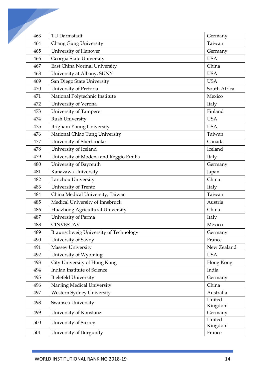| 463 | TU Darmstadt                           | Germany           |
|-----|----------------------------------------|-------------------|
| 464 | Chang Gung University                  | Taiwan            |
| 465 | University of Hanover                  | Germany           |
| 466 | Georgia State University               | <b>USA</b>        |
| 467 | East China Normal University           | China             |
| 468 | University at Albany, SUNY             | <b>USA</b>        |
| 469 | San Diego State University             | <b>USA</b>        |
| 470 | University of Pretoria                 | South Africa      |
| 471 | National Polytechnic Institute         | Mexico            |
| 472 | University of Verona                   | Italy             |
| 473 | University of Tampere                  | Finland           |
| 474 | Rush University                        | <b>USA</b>        |
| 475 | Brigham Young University               | <b>USA</b>        |
| 476 | National Chiao Tung University         | Taiwan            |
| 477 | University of Sherbrooke               | Canada            |
| 478 | University of Iceland                  | Iceland           |
| 479 | University of Modena and Reggio Emilia | Italy             |
| 480 | University of Bayreuth                 | Germany           |
| 481 | Kanazawa University                    | Japan             |
| 482 | Lanzhou University                     | China             |
| 483 | University of Trento                   | Italy             |
| 484 | China Medical University, Taiwan       | Taiwan            |
| 485 | Medical University of Innsbruck        | Austria           |
| 486 | Huazhong Agricultural University       | China             |
| 487 | University of Parma                    | Italy             |
| 488 | <b>CINVESTAV</b>                       | Mexico            |
| 489 | Braunschweig University of Technology  | Germany           |
| 490 | University of Savoy                    | France            |
| 491 | <b>Massey University</b>               | New Zealand       |
| 492 | University of Wyoming                  | <b>USA</b>        |
| 493 | City University of Hong Kong           | Hong Kong         |
| 494 | Indian Institute of Science            | India             |
| 495 | <b>Bielefeld University</b>            | Germany           |
| 496 | Nanjing Medical University             | China             |
| 497 | Western Sydney University              | Australia         |
| 498 | Swansea University                     | United<br>Kingdom |
| 499 | University of Konstanz                 | Germany           |
| 500 | University of Surrey                   | United<br>Kingdom |
| 501 | University of Burgundy                 | France            |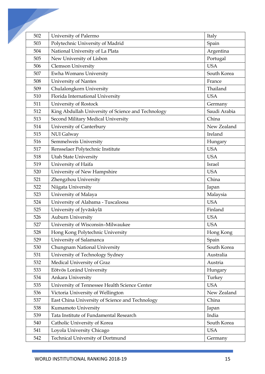| 502 | University of Palermo                              | Italy        |
|-----|----------------------------------------------------|--------------|
| 503 | Polytechnic University of Madrid                   | Spain        |
| 504 | National University of La Plata                    | Argentina    |
| 505 | New University of Lisbon                           | Portugal     |
| 506 | <b>Clemson University</b>                          | <b>USA</b>   |
| 507 | Ewha Womans University                             | South Korea  |
| 508 | University of Nantes                               | France       |
| 509 | Chulalongkorn University                           | Thailand     |
| 510 | Florida International University                   | <b>USA</b>   |
| 511 | University of Rostock                              | Germany      |
| 512 | King Abdullah University of Science and Technology | Saudi Arabia |
| 513 | Second Military Medical University                 | China        |
| 514 | University of Canterbury                           | New Zealand  |
| 515 | NUI Galway                                         | Ireland      |
| 516 | Semmelweis University                              | Hungary      |
| 517 | Rensselaer Polytechnic Institute                   | <b>USA</b>   |
| 518 | <b>Utah State University</b>                       | <b>USA</b>   |
| 519 | University of Haifa                                | Israel       |
| 520 | University of New Hampshire                        | <b>USA</b>   |
| 521 | Zhengzhou University                               | China        |
| 522 | Niigata University                                 | Japan        |
| 523 | University of Malaya                               | Malaysia     |
| 524 | University of Alabama - Tuscaloosa                 | <b>USA</b>   |
| 525 | University of Jyväskylä                            | Finland      |
| 526 | <b>Auburn University</b>                           | <b>USA</b>   |
| 527 | University of Wisconsin-Milwaukee                  | <b>USA</b>   |
| 528 | Hong Kong Polytechnic University                   | Hong Kong    |
| 529 | University of Salamanca                            | Spain        |
| 530 | Chungnam National University                       | South Korea  |
| 531 | University of Technology Sydney                    | Australia    |
| 532 | Medical University of Graz                         | Austria      |
| 533 | Eötvös Loránd University                           | Hungary      |
| 534 | Ankara University                                  | Turkey       |
| 535 | University of Tennessee Health Science Center      | <b>USA</b>   |
| 536 | Victoria University of Wellington                  | New Zealand  |
| 537 | East China University of Science and Technology    | China        |
| 538 | Kumamoto University                                | Japan        |
| 539 | Tata Institute of Fundamental Research             | India        |
| 540 | Catholic University of Korea                       | South Korea  |
| 541 | Loyola University Chicago                          | <b>USA</b>   |
| 542 | Technical University of Dortmund                   | Germany      |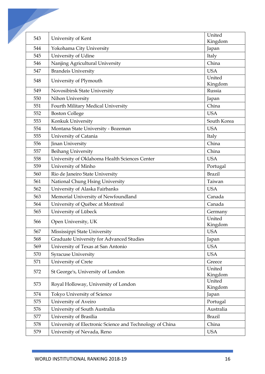| 543 | University of Kent                                       | United        |
|-----|----------------------------------------------------------|---------------|
|     |                                                          | Kingdom       |
| 544 | Yokohama City University                                 | Japan         |
| 545 | University of Udine                                      | Italy         |
| 546 | Nanjing Agricultural University                          | China         |
| 547 | <b>Brandeis University</b>                               | <b>USA</b>    |
| 548 | University of Plymouth                                   | United        |
|     |                                                          | Kingdom       |
| 549 | Novosibirsk State University                             | Russia        |
| 550 | Nihon University                                         | Japan         |
| 551 | Fourth Military Medical University                       | China         |
| 552 | <b>Boston College</b>                                    | <b>USA</b>    |
| 553 | Konkuk University                                        | South Korea   |
| 554 | Montana State University - Bozeman                       | <b>USA</b>    |
| 555 | University of Catania                                    | Italy         |
| 556 | Jinan University                                         | China         |
| 557 | <b>Beihang University</b>                                | China         |
| 558 | University of Oklahoma Health Sciences Center            | <b>USA</b>    |
| 559 | University of Minho                                      | Portugal      |
| 560 | Rio de Janeiro State University                          | <b>Brazil</b> |
| 561 | National Chung Hsing University                          | Taiwan        |
| 562 | University of Alaska Fairbanks                           | <b>USA</b>    |
| 563 | Memorial University of Newfoundland                      | Canada        |
| 564 | University of Québec at Montreal                         | Canada        |
| 565 | University of Lübeck                                     | Germany       |
|     |                                                          | United        |
| 566 | Open University, UK                                      | Kingdom       |
| 567 | Mississippi State University                             | <b>USA</b>    |
| 568 | Graduate University for Advanced Studies                 | Japan         |
| 569 | University of Texas at San Antonio                       | <b>USA</b>    |
| 570 | <b>Syracuse University</b>                               | <b>USA</b>    |
| 571 | University of Crete                                      | Greece        |
|     | St George's, University of London                        | United        |
| 572 |                                                          | Kingdom       |
| 573 | Royal Holloway, University of London                     | United        |
| 574 | Tokyo University of Science                              | Kingdom       |
| 575 | University of Aveiro                                     | Japan         |
|     |                                                          | Portugal      |
| 576 | University of South Australia                            | Australia     |
| 577 | University of Brasília                                   | <b>Brazil</b> |
| 578 | University of Electronic Science and Technology of China | China         |
| 579 | University of Nevada, Reno                               | <b>USA</b>    |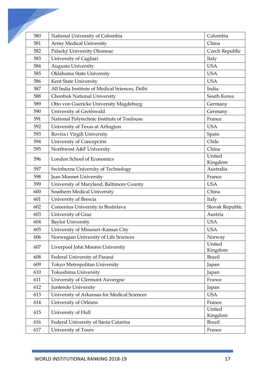| 580 | National University of Colombia                | Colombia          |
|-----|------------------------------------------------|-------------------|
| 581 | <b>Army Medical University</b>                 | China             |
| 582 | Palacký University Olomouc                     | Czech Republic    |
| 583 | University of Cagliari                         | Italy             |
| 584 | Augusta University                             | <b>USA</b>        |
| 585 | Oklahoma State University                      | <b>USA</b>        |
| 586 | Kent State University                          | <b>USA</b>        |
| 587 | All India Institute of Medical Sciences, Delhi | India             |
| 588 | Chonbuk National University                    | South Korea       |
| 589 | Otto von Guericke University Magdeburg         | Germany           |
| 590 | University of Greifswald                       | Germany           |
| 591 | National Polytechnic Institute of Toulouse     | France            |
| 592 | University of Texas at Arlington               | <b>USA</b>        |
| 593 | Rovira i Virgili University                    | Spain             |
| 594 | University of Concepción                       | Chile             |
| 595 | Northwest A&F University                       | China             |
| 596 | London School of Economics                     | United<br>Kingdom |
| 597 | Swinburne University of Technology             | Australia         |
| 598 | Jean Monnet University                         | France            |
| 599 | University of Maryland, Baltimore County       | <b>USA</b>        |
| 600 | Southern Medical University                    | China             |
| 601 | University of Brescia                          | Italy             |
| 602 | Comenius University in Bratislava              | Slovak Republic   |
| 603 | University of Graz                             | Austria           |
| 604 | <b>Baylor University</b>                       | <b>USA</b>        |
| 605 | University of Missouri-Kansas City             | <b>USA</b>        |
| 606 | Norwegian University of Life Sciences          | Norway            |
| 607 | Liverpool John Moores University               | United<br>Kingdom |
| 608 | Federal University of Paraná                   | <b>Brazil</b>     |
| 609 | Tokyo Metropolitan University                  | Japan             |
| 610 | Tokushima University                           | Japan             |
| 611 | University of Clermont Auvergne                | France            |
| 612 | Juntendo University                            | Japan             |
| 613 | University of Arkansas for Medical Sciences    | <b>USA</b>        |
| 614 | University of Orléans                          | France            |
| 615 | University of Hull                             | United<br>Kingdom |
| 616 | Federal University of Santa Catarina           | <b>Brazil</b>     |
| 617 | University of Tours                            | France            |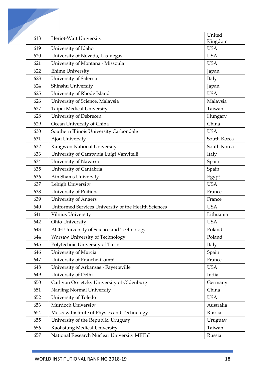| 618 | Heriot-Watt University                               | United      |
|-----|------------------------------------------------------|-------------|
|     |                                                      | Kingdom     |
| 619 | University of Idaho                                  | <b>USA</b>  |
| 620 | University of Nevada, Las Vegas                      | <b>USA</b>  |
| 621 | University of Montana - Missoula                     | <b>USA</b>  |
| 622 | <b>Ehime University</b>                              | Japan       |
| 623 | University of Salerno                                | Italy       |
| 624 | Shinshu University                                   | Japan       |
| 625 | University of Rhode Island                           | <b>USA</b>  |
| 626 | University of Science, Malaysia                      | Malaysia    |
| 627 | Taipei Medical University                            | Taiwan      |
| 628 | University of Debrecen                               | Hungary     |
| 629 | Ocean University of China                            | China       |
| 630 | Southern Illinois University Carbondale              | <b>USA</b>  |
| 631 | Ajou University                                      | South Korea |
| 632 | Kangwon National University                          | South Korea |
| 633 | University of Campania Luigi Vanvitelli              | Italy       |
| 634 | University of Navarra                                | Spain       |
| 635 | University of Cantabria                              | Spain       |
| 636 | Ain Shams University                                 | Egypt       |
| 637 | Lehigh University                                    | <b>USA</b>  |
| 638 | University of Poitiers                               | France      |
| 639 | University of Angers                                 | France      |
| 640 | Uniformed Services University of the Health Sciences | <b>USA</b>  |
| 641 | Vilnius University                                   | Lithuania   |
| 642 | Ohio University                                      | <b>USA</b>  |
| 643 | AGH University of Science and Technology             | Poland      |
| 644 | Warsaw University of Technology                      | Poland      |
| 645 | Polytechnic University of Turin                      | Italy       |
| 646 | University of Murcia                                 | Spain       |
| 647 | University of Franche-Comté                          | France      |
| 648 | University of Arkansas - Fayetteville                | <b>USA</b>  |
| 649 | University of Delhi                                  | India       |
| 650 | Carl von Ossietzky University of Oldenburg           | Germany     |
| 651 | Nanjing Normal University                            | China       |
| 652 | University of Toledo                                 | <b>USA</b>  |
| 653 | Murdoch University                                   | Australia   |
| 654 | Moscow Institute of Physics and Technology           | Russia      |
| 655 | University of the Republic, Uruguay                  | Uruguay     |
| 656 | Kaohsiung Medical University                         | Taiwan      |
| 657 | National Research Nuclear University MEPhI           | Russia      |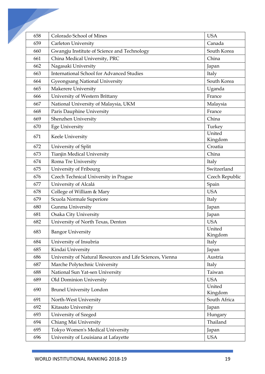| 658 | Colorado School of Mines                                  | <b>USA</b>        |
|-----|-----------------------------------------------------------|-------------------|
| 659 | Carleton University                                       | Canada            |
| 660 | Gwangju Institute of Science and Technology               | South Korea       |
| 661 | China Medical University, PRC                             | China             |
| 662 | Nagasaki University                                       | Japan             |
| 663 | <b>International School for Advanced Studies</b>          | Italy             |
| 664 | <b>Gyeongsang National University</b>                     | South Korea       |
| 665 | <b>Makerere University</b>                                | Uganda            |
| 666 | University of Western Brittany                            | France            |
| 667 | National University of Malaysia, UKM                      | Malaysia          |
| 668 | Paris Dauphine University                                 | France            |
| 669 | Shenzhen University                                       | China             |
| 670 | <b>Ege University</b>                                     | Turkey            |
| 671 | Keele University                                          | United            |
|     |                                                           | Kingdom           |
| 672 | University of Split                                       | Croatia           |
| 673 | <b>Tianjin Medical University</b>                         | China             |
| 674 | Roma Tre University                                       | Italy             |
| 675 | University of Fribourg                                    | Switzerland       |
| 676 | Czech Technical University in Prague                      | Czech Republic    |
| 677 | University of Alcalá                                      | Spain             |
| 678 | College of William & Mary                                 | <b>USA</b>        |
| 679 | Scuola Normale Superiore                                  | Italy             |
| 680 | Gunma University                                          | Japan             |
| 681 | Osaka City University                                     | Japan             |
| 682 | University of North Texas, Denton                         | <b>USA</b>        |
| 683 | <b>Bangor University</b>                                  | United<br>Kingdom |
| 684 | University of Insubria                                    | Italy             |
| 685 | Kindai University                                         | Japan             |
| 686 | University of Natural Resources and Life Sciences, Vienna | Austria           |
| 687 | Marche Polytechnic University                             | Italy             |
| 688 | National Sun Yat-sen University                           | Taiwan            |
| 689 | Old Dominion University                                   | <b>USA</b>        |
| 690 | <b>Brunel University London</b>                           | United<br>Kingdom |
| 691 | North-West University                                     | South Africa      |
| 692 | Kitasato University                                       | Japan             |
| 693 | University of Szeged                                      | Hungary           |
| 694 | Chiang Mai University                                     | Thailand          |
| 695 | Tokyo Women's Medical University                          | Japan             |
| 696 | University of Louisiana at Lafayette                      | <b>USA</b>        |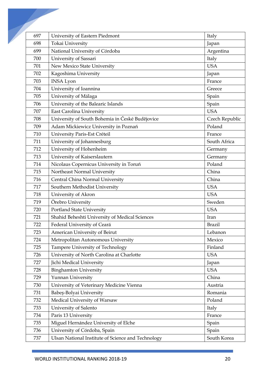| 697 | University of Eastern Piedmont                     | Italy          |
|-----|----------------------------------------------------|----------------|
| 698 | Tokai University                                   | Japan          |
| 699 | National University of Córdoba                     | Argentina      |
| 700 | University of Sassari                              | Italy          |
| 701 | New Mexico State University                        | <b>USA</b>     |
| 702 | Kagoshima University                               | Japan          |
| 703 | <b>INSA Lyon</b>                                   | France         |
| 704 | University of Ioannina                             | Greece         |
| 705 | University of Málaga                               | Spain          |
| 706 | University of the Balearic Islands                 | Spain          |
| 707 | East Carolina University                           | <b>USA</b>     |
| 708 | University of South Bohemia in České Budějovice    | Czech Republic |
| 709 | Adam Mickiewicz University in Poznań               | Poland         |
| 710 | University Paris-Est Créteil                       | France         |
| 711 | University of Johannesburg                         | South Africa   |
| 712 | University of Hohenheim                            | Germany        |
| 713 | University of Kaiserslautern                       | Germany        |
| 714 | Nicolaus Copernicus University in Toruń            | Poland         |
| 715 | Northeast Normal University                        | China          |
| 716 | Central China Normal University                    | China          |
| 717 | Southern Methodist University                      | <b>USA</b>     |
| 718 | University of Akron                                | <b>USA</b>     |
| 719 | Örebro University                                  | Sweden         |
| 720 | <b>Portland State University</b>                   | <b>USA</b>     |
| 721 | Shahid Beheshti University of Medical Sciences     | Iran           |
| 722 | Federal University of Ceará                        | <b>Brazil</b>  |
| 723 | American University of Beirut                      | Lebanon        |
| 724 | Metropolitan Autonomous University                 | Mexico         |
| 725 | Tampere University of Technology                   | Finland        |
| 726 | University of North Carolina at Charlotte          | <b>USA</b>     |
| 727 | Jichi Medical University                           | Japan          |
| 728 | <b>Binghamton University</b>                       | <b>USA</b>     |
| 729 | Yunnan University                                  | China          |
| 730 | University of Veterinary Medicine Vienna           | Austria        |
| 731 | Babeș-Bolyai University                            | Romania        |
| 732 | Medical University of Warsaw                       | Poland         |
| 733 | University of Salento                              | Italy          |
| 734 | Paris 13 University                                | France         |
| 735 | Miguel Hernández University of Elche               | Spain          |
| 736 | University of Córdoba, Spain                       | Spain          |
| 737 | Ulsan National Institute of Science and Technology | South Korea    |